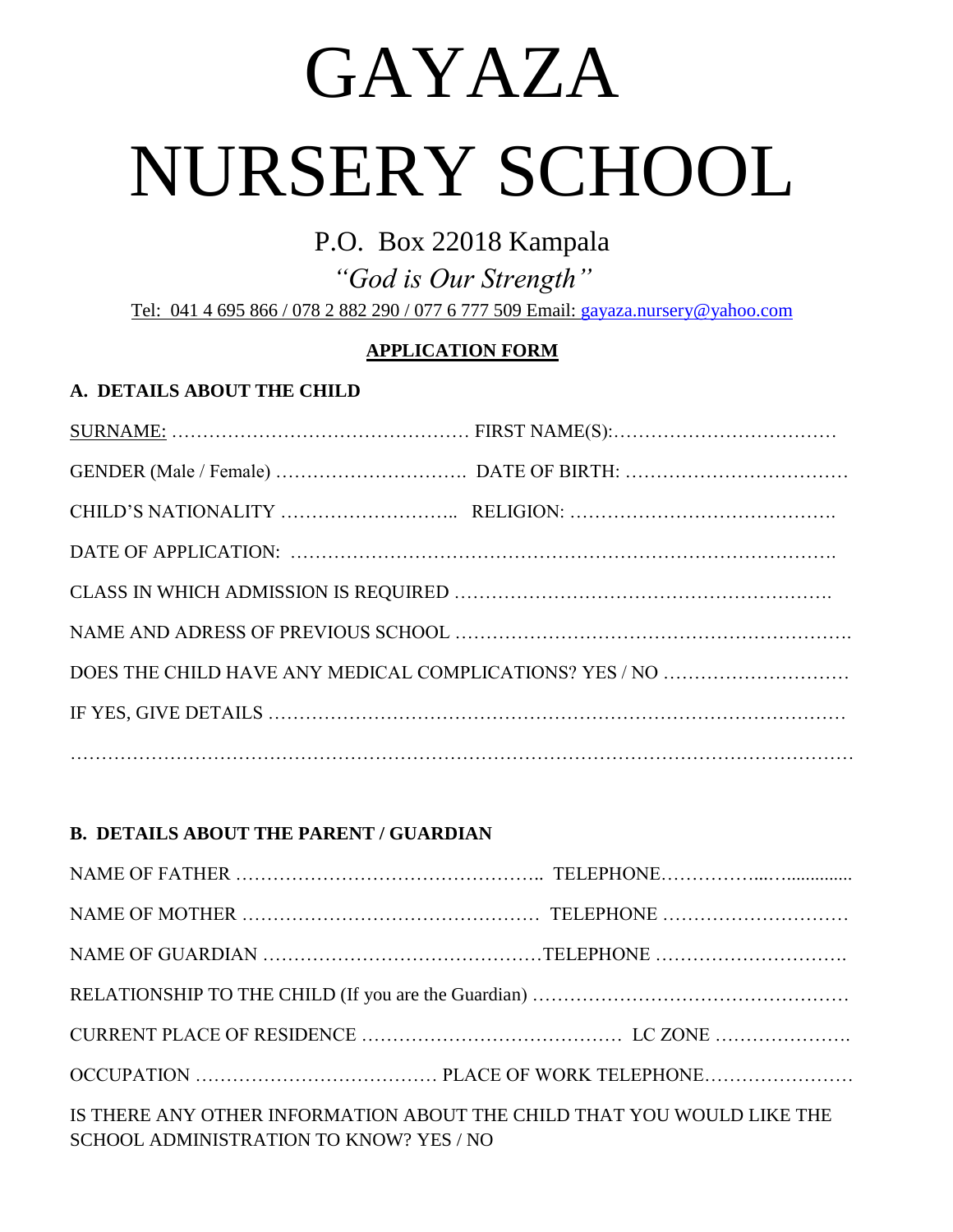## GAYAZA

# NURSERY SCHOOL

### P.O. Box 22018 Kampala

*"God is Our Strength"* Tel: 041 4 695 866 / 078 2 882 290 / 077 6 777 509 Email: [gayaza.nursery@yahoo.com](mailto:gayaza.nursery@yahoo.com)

### **APPLICATION FORM**

### **A. DETAILS ABOUT THE CHILD**

### **B. DETAILS ABOUT THE PARENT / GUARDIAN**

| IS THERE ANY OTHER INFORMATION ABOUT THE CHILD THAT YOU WOULD LIKE THE<br>SCHOOL ADMINISTRATION TO KNOW? YES / NO |  |  |
|-------------------------------------------------------------------------------------------------------------------|--|--|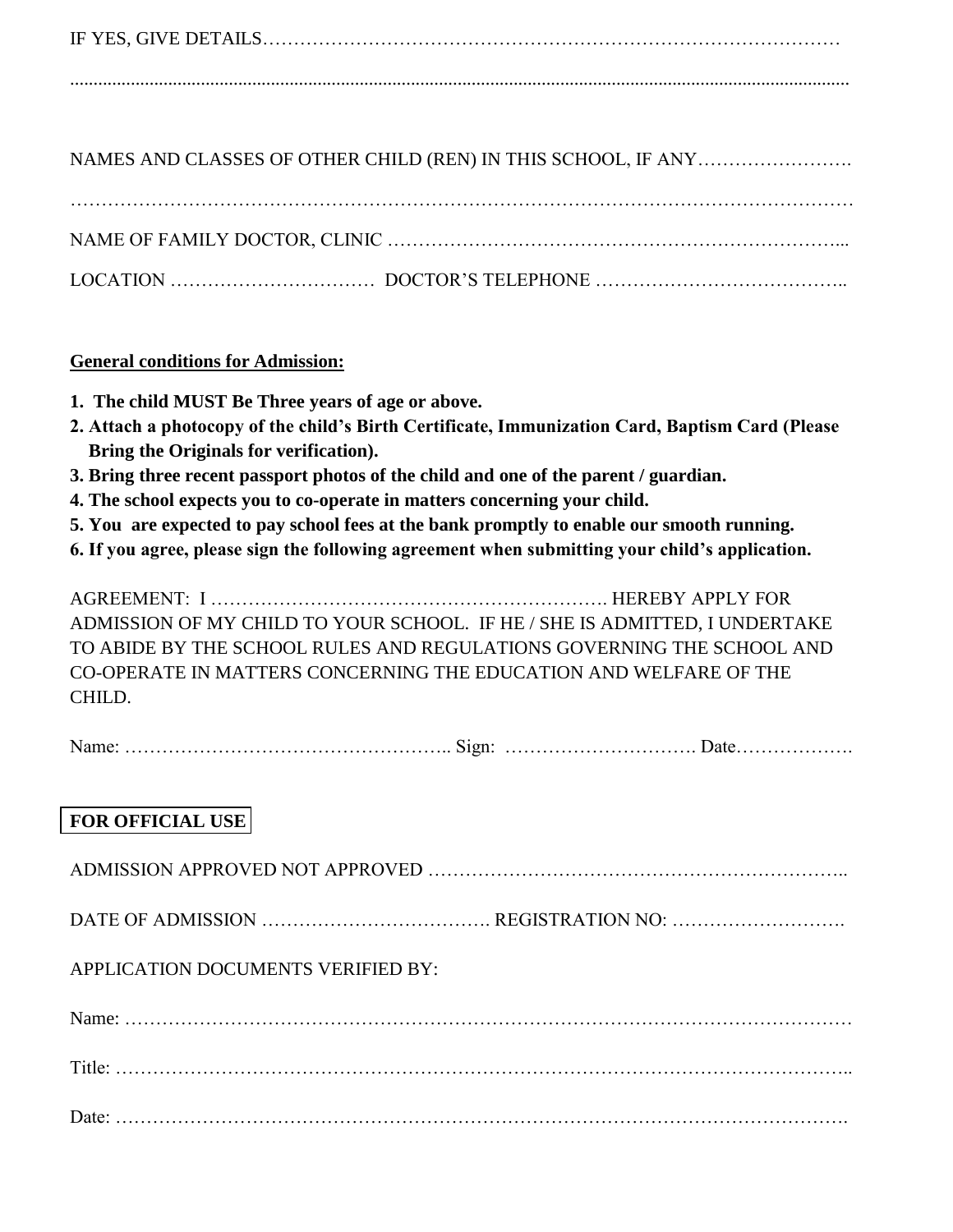|--|

.......................................................................................................................................................................

NAMES AND CLASSES OF OTHER CHILD (REN) IN THIS SCHOOL, IF ANY…………………….

### **General conditions for Admission:**

- **1. The child MUST Be Three years of age or above.**
- **2. Attach a photocopy of the child's Birth Certificate, Immunization Card, Baptism Card (Please Bring the Originals for verification).**
- **3. Bring three recent passport photos of the child and one of the parent / guardian.**
- **4. The school expects you to co-operate in matters concerning your child.**
- **5. You are expected to pay school fees at the bank promptly to enable our smooth running.**
- **6. If you agree, please sign the following agreement when submitting your child's application.**

AGREEMENT: I ………………………………………………………. HEREBY APPLY FOR ADMISSION OF MY CHILD TO YOUR SCHOOL. IF HE / SHE IS ADMITTED, I UNDERTAKE TO ABIDE BY THE SCHOOL RULES AND REGULATIONS GOVERNING THE SCHOOL AND CO-OPERATE IN MATTERS CONCERNING THE EDUCATION AND WELFARE OF THE CHILD.

Name: …………………………………………….. Sign: …………………………. Date……………….

### **FOR OFFICIAL USE**

| APPLICATION DOCUMENTS VERIFIED BY: |  |
|------------------------------------|--|
|                                    |  |
|                                    |  |
|                                    |  |
|                                    |  |